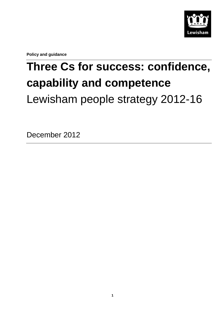

**Policy and guidance**

# **Three Cs for success: confidence, capability and competence** Lewisham people strategy 2012-16

December 2012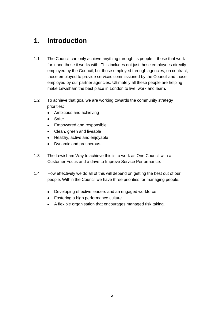### **1. Introduction**

- 1.1 The Council can only achieve anything through its people those that work for it and those it works with. This includes not just those employees directly employed by the Council, but those employed through agencies, on contract, those employed to provide services commissioned by the Council and those employed by our partner agencies. Ultimately all these people are helping make Lewisham the best place in London to live, work and learn.
- 1.2 To achieve that goal we are working towards the community strategy priorities:
	- $\bullet$ Ambitious and achieving
	- Safer  $\bullet$
	- Empowered and responsible  $\bullet$
	- Clean, green and liveable
	- Healthy, active and enjoyable  $\bullet$
	- $\bullet$ Dynamic and prosperous.
- 1.3 The Lewisham Way to achieve this is to work as One Council with a Customer Focus and a drive to Improve Service Performance.
- 1.4 How effectively we do all of this will depend on getting the best out of our people. Within the Council we have three priorities for managing people:
	- Developing effective leaders and an engaged workforce
	- Fostering a high performance culture
	- A flexible organisation that encourages managed risk taking.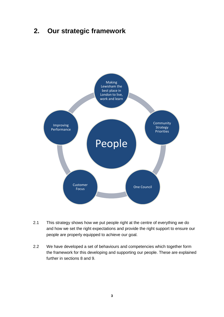### **2. Our strategic framework**



- 2.1 This strategy shows how we put people right at the centre of everything we do and how we set the right expectations and provide the right support to ensure our people are properly equipped to achieve our goal.
- 2.2 We have developed a set of behaviours and competencies which together form the framework for this developing and supporting our people. These are explained further in sections 8 and 9.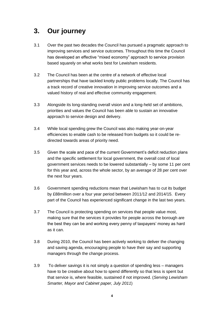## **3. Our journey**

- 3.1 Over the past two decades the Council has pursued a pragmatic approach to improving services and service outcomes. Throughout this time the Council has developed an effective "mixed economy" approach to service provision based squarely on what works best for Lewisham residents.
- 3.2 The Council has been at the centre of a network of effective local partnerships that have tackled knotty public problems locally. The Council has a track record of creative innovation in improving service outcomes and a valued history of real and effective community engagement.
- 3.3 Alongside its long-standing overall vision and a long-held set of ambitions, priorities and values the Council has been able to sustain an innovative approach to service design and delivery.
- 3.4 While local spending grew the Council was also making year-on-year efficiencies to enable cash to be released from budgets so it could be redirected towards areas of priority need.
- 3.5 Given the scale and pace of the current Government's deficit reduction plans and the specific settlement for local government, the overall cost of local government services needs to be lowered substantially – by some 11 per cent for this year and, across the whole sector, by an average of 28 per cent over the next four years.
- 3.6 Government spending reductions mean that Lewisham has to cut its budget by £88million over a four year period between 2011/12 and 2014/15. Every part of the Council has experienced significant change in the last two years.
- 3.7 The Council is protecting spending on services that people value most, making sure that the services it provides for people across the borough are the best they can be and working every penny of taxpayers' money as hard as it can.
- 3.8 During 2010, the Council has been actively working to deliver the changing and saving agenda, encouraging people to have their say and supporting managers through the change process.
- 3.9 To deliver savings it is not simply a question of spending less managers have to be creative about how to spend differently so that less is spent but that service is, where feasible, sustained if not improved. (*Serving Lewisham Smarter, Mayor and Cabinet paper, July 2011*)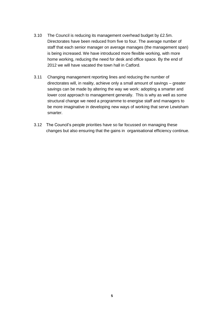- 3.10 The Council is reducing its management overhead budget by £2.5m. Directorates have been reduced from five to four. The average number of staff that each senior manager on average manages (the management span) is being increased. We have introduced more flexible working, with more home working, reducing the need for desk and office space. By the end of 2012 we will have vacated the town hall in Catford.
- 3.11 Changing management reporting lines and reducing the number of directorates will, in reality, achieve only a small amount of savings – greater savings can be made by altering the way we work: adopting a smarter and lower cost approach to management generally. This is why as well as some structural change we need a programme to energise staff and managers to be more imaginative in developing new ways of working that serve Lewisham smarter.
- 3.12 The Council's people priorities have so far focussed on managing these changes but also ensuring that the gains in organisational efficiency continue.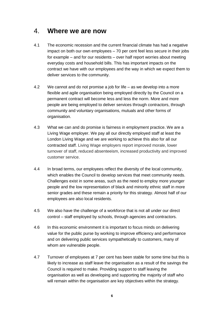### 4. **Where we are now**

- 4.1 The economic recession and the current financial climate has had a negative impact on both our own employees – 70 per cent feel less secure in their jobs for example – and for our residents – over half report worries about meeting everyday costs and household bills. This has important impacts on the contract we have with our employees and the way in which we expect them to deliver services to the community.
- 4.2 We cannot and do not promise a job for life as we develop into a more flexible and agile organisation being employed directly by the Council on a permanent contract will become less and less the norm. More and more people are being employed to deliver services through contractors, through community and voluntary organisations, mutuals and other forms of organisation.
- 4.3 What we can and do promise is fairness in employment practice. We are a Living Wage employer. We pay all our directly employed staff at least the London Living Wage and we are working to achieve this also for all our contracted staff. Living Wage employers report improved morale, lower turnover of staff, reduced absenteeism, increased productivity and improved customer service.
- 4.4 In broad terms, our employees reflect the diversity of the local community, which enables the Council to develop services that meet community needs. Challenges exist in some areas, such as the need to employ more younger people and the low representation of black and minority ethnic staff in more senior grades and these remain a priority for this strategy. Almost half of our employees are also local residents.
- 4.5 We also have the challenge of a workforce that is not all under our direct control – staff employed by schools, through agencies and contractors.
- 4.6 In this economic environment it is important to focus minds on delivering value for the public purse by working to improve efficiency and performance and on delivering public services sympathetically to customers, many of whom are vulnerable people.
- 4.7 Turnover of employees at 7 per cent has been stable for some time but this is likely to increase as staff leave the organisation as a result of the savings the Council is required to make. Providing support to staff leaving the organisation as well as developing and supporting the majority of staff who will remain within the organisation are key objectives within the strategy.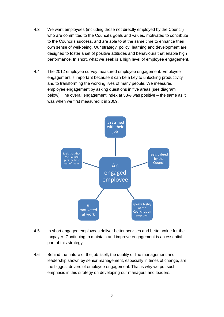- 4.3 We want employees (including those not directly employed by the Council) who are committed to the Council's goals and values, motivated to contribute to the Council's success, and are able to at the same time to enhance their own sense of well-being. Our strategy, policy, learning and development are designed to foster a set of positive attitudes and behaviours that enable high performance. In short, what we seek is a high level of employee engagement.
- 4.4 The 2012 employee survey measured employee engagement. Employee engagement is important because it can be a key to unlocking productivity and to transforming the working lives of many people. We measured employee engagement by asking questions in five areas (see diagram below). The overall engagement index at 58% was positive – the same as it was when we first measured it in 2009.



- 4.5 In short engaged employees deliver better services and better value for the taxpayer. Continuing to maintain and improve engagement is an essential part of this strategy.
- 4.6 Behind the nature of the job itself, the quality of line management and leadership shown by senior management, especially in times of change, are the biggest drivers of employee engagement. That is why we put such emphasis in this strategy on developing our managers and leaders.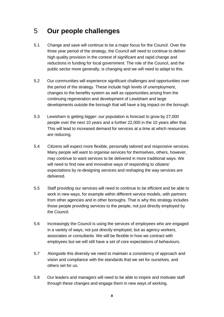### 5 **Our people challenges**

- 5.1 Change and save will continue to be a major focus for the Council. Over the three year period of the strategy, the Council will need to continue to deliver high quality provision in the context of significant and rapid change and reductions in funding for local government. The role of the Council, and the public sector more generally, is changing and we will need to adapt to this.
- 5.2 Our communities will experience significant challenges and opportunities over the period of the strategy. These include high levels of unemployment, changes to the benefits system as well as opportunities arising from the continuing regeneration and development of Lewisham and large developments outside the borough that will have a big impact on the borough.
- 5.3 Lewisham is getting bigger: our population is forecast to grow by 27,000 people over the next 10 years and a further 22,000 in the 10 years after that. This will lead to increased demand for services at a time at which resources are reducing.
- 5.4 Citizens will expect more flexible, personally tailored and responsive services. Many people will want to organise services for themselves, others, however, may continue to want services to be delivered in more traditional ways. We will need to find new and innovative ways of responding to citizens' expectations by re-designing services and reshaping the way services are delivered.
- 5.5 Staff providing our services will need to continue to be efficient and be able to work in new ways, for example within different service models, with partners from other agencies and in other boroughs. That is why this strategy includes those people providing services to the people, not just directly employed by the Council.
- 5.6 Increasingly the Council is using the services of employees who are engaged in a variety of ways, not just directly employed, but as agency workers, associates or consultants. We will be flexible in how we contract with employees but we will still have a set of core expectations of behaviours.
- 5.7 Alongside this diversity we need to maintain a consistency of approach and vision and compliance with the standards that we set for ourselves, and others set for us.
- 5.8 Our leaders and managers will need to be able to inspire and motivate staff through these changes and engage them in new ways of working.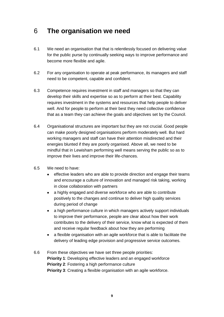### 6 **The organisation we need**

- 6.1 We need an organisation that that is relentlessly focused on delivering value for the public purse by continually seeking ways to improve performance and become more flexible and agile.
- 6.2 For any organisation to operate at peak performance, its managers and staff need to be competent, capable and confident.
- 6.3 Competence requires investment in staff and managers so that they can develop their skills and expertise so as to perform at their best. Capability requires investment in the systems and resources that help people to deliver well. And for people to perform at their best they need collective confidence that as a team they can achieve the goals and objectives set by the Council.
- 6.4 Organisational structures are important but they are not crucial. Good people can make poorly designed organisations perform moderately well. But hard working managers and staff can have their attention misdirected and their energies blunted if they are poorly organised. Above all, we need to be mindful that in Lewisham performing well means serving the public so as to improve their lives and improve their life-chances.
- 6.5 We need to have:
	- effective leaders who are able to provide direction and engage their teams and encourage a culture of innovation and managed risk taking, working in close collaboration with partners
	- a highly engaged and diverse workforce who are able to contribute positively to the changes and continue to deliver high quality services during period of change
	- a high performance culture in which managers actively support individuals to improve their performance, people are clear about how their work contributes to the delivery of their service, know what is expected of them and receive regular feedback about how they are performing
	- a flexible organisation with an agile workforce that is able to facilitate the delivery of leading edge provision and progressive service outcomes.
- 6.6 From these objectives we have set three people priorities: **Priority 1**: Developing effective leaders and an engaged workforce **Priority 2**: Fostering a high performance culture **Priority 3:** Creating a flexible organisation with an agile workforce.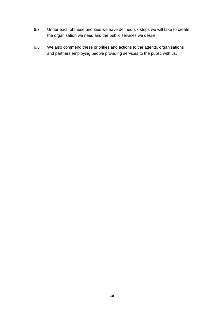- 6.7 Under each of these priorities we have defined six steps we will take to create the organisation we need and the public services we desire.
- 6.8 We also commend these priorities and actions to the agents, organisations and partners employing people providing services to the public with us.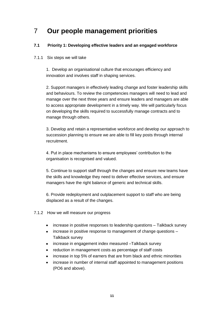## 7 **Our people management priorities**

#### **7.1 Priority 1: Developing effective leaders and an engaged workforce**

#### 7.1.1 Six steps we will take

1. Develop an organisational culture that encourages efficiency and innovation and involves staff in shaping services.

2. Support managers in effectively leading change and foster leadership skills and behaviours. To review the competencies managers will need to lead and manage over the next three years and ensure leaders and managers are able to access appropriate development in a timely way. We will particularly focus on developing the skills required to successfully manage contracts and to manage through others.

3. Develop and retain a representative workforce and develop our approach to succession planning to ensure we are able to fill key posts through internal recruitment.

4. Put in place mechanisms to ensure employees' contribution to the organisation is recognised and valued.

5. Continue to support staff through the changes and ensure new teams have the skills and knowledge they need to deliver effective services, and ensure managers have the right balance of generic and technical skills.

6. Provide redeployment and outplacement support to staff who are being displaced as a result of the changes.

- 7.1.2 How we will measure our progress
	- increase in positive responses to leadership questions Talkback survey
	- increase in positive response to management of change questions Talkback survey
	- increase in engagement index measured –Talkback survey
	- reduction in management costs as percentage of staff costs  $\bullet$
	- increase in top 5% of earners that are from black and ethnic minorities  $\bullet$
	- increase in number of internal staff appointed to management positions  $\bullet$ (PO6 and above).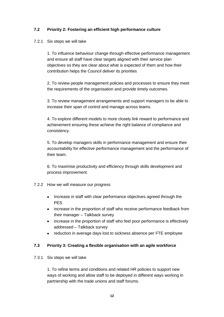#### **7.2 Priority 2: Fostering an efficient high performance culture**

#### 7.2.1 Six steps we will take

1. To influence behaviour change through effective performance management and ensure all staff have clear targets aligned with their service plan objectives so they are clear about what is expected of them and how their contribution helps the Council deliver its priorities

2. To review people management policies and processes to ensure they meet the requirements of the organisation and provide timely outcomes.

3. To review management arrangements and support managers to be able to increase their span of control and manage across teams.

4. To explore different models to more closely link reward to performance and achievement ensuring these achieve the right balance of compliance and consistency.

5. To develop managers skills in performance management and ensure their accountability for effective performance management and the performance of their team.

6. To maximise productivity and efficiency through skills development and process improvement.

#### 7.2.2 How we will measure our progress

- Increase in staff with clear performance objectives agreed through the PES
- increase in the proportion of staff who receive performance feedback from their manager – Talkback survey
- increase in the proportion of staff who feel poor performance is effectively addressed – Talkback survey
- reduction in average days lost to sickness absence per FTE employee

#### **7.3 Priority 3: Creating a flexible organisation with an agile workforce**

7.3.1 Six steps we will take

1. To refine terms and conditions and related HR policies to support new ways of working and allow staff to be deployed in different ways working in partnership with the trade unions and staff forums.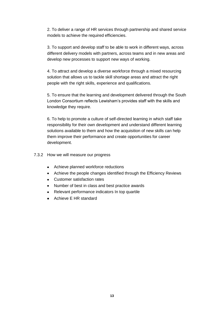2. To deliver a range of HR services through partnership and shared service models to achieve the required efficiencies.

3. To support and develop staff to be able to work in different ways, across different delivery models with partners, across teams and in new areas and develop new processes to support new ways of working.

4. To attract and develop a diverse workforce through a mixed resourcing solution that allows us to tackle skill shortage areas and attract the right people with the right skills, experience and qualifications.

5. To ensure that the learning and development delivered through the South London Consortium reflects Lewisham's provides staff with the skills and knowledge they require.

6. To help to promote a culture of self-directed learning in which staff take responsibility for their own development and understand different learning solutions available to them and how the acquisition of new skills can help them improve their performance and create opportunities for career development.

7.3.2 How we will measure our progress

- Achieve planned workforce reductions
- Achieve the people changes identified through the Efficiency Reviews
- Customer satisfaction rates
- Number of best in class and best practice awards
- Relevant performance indicators In top quartile
- Achieve E HR standard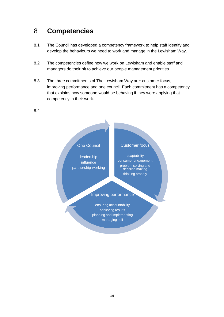### 8 **Competencies**

- 8.1 The Council has developed a competency framework to help staff identify and develop the behaviours we need to work and manage in the Lewisham Way.
- 8.2 The competencies define how we work on Lewisham and enable staff and managers do their bit to achieve our people management priorities.
- 8.3 The three commitments of The Lewisham Way are: customer focus, improving performance and one council. Each commitment has a competency that explains how someone would be behaving if they were applying that competency in their work.

#### 8.4

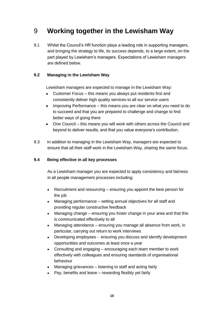### 9 **Working together in the Lewisham Way**

9.1 Whilst the Council's HR function plays a leading role in supporting managers, and bringing the strategy to life, its success depends, to a large extent, on the part played by Lewisham's managers. Expectations of Lewisham managers are defined below.

#### **9.2 Managing in the Lewisham Way**

Lewisham managers are expected to manage in the Lewisham Way:

- Customer Focus this means you always put residents first and  $\bullet$ consistently deliver high quality services to all our service users
- Improving Performance this means you are clear on what you need to do to succeed and that you are prepared to challenge and change to find better ways of going there
- One Council this means you will work with others across the Council and beyond to deliver results, and that you value everyone's contribution.
- 9.3 In addition to managing in the Lewisham Way, managers are expected to ensure that all their staff work in the Lewisham Way, sharing the same focus.

#### **9.4 Being effective in all key processes**

As a Lewisham manager you are expected to apply consistency and fairness in all people management processes including:

- [Recruitment and resourcing](http://ls/C2/RecruitmentAndResourcing/default.aspx) ensuring you appoint the best person for  $\bullet$ the job
- [Managing performance](http://ls/C15/ManagingPerformance/default.aspx) setting annual objectives for all staff and providing regular constructive feedback
- [Managing change](http://ls/C8/ManagingChange/default.aspx) ensuring you foster change in your area and that this is communicated effectively to all
- [Managing attendance](http://ls/C0/ManagingAttendance/default.aspx) ensuring you manage all absence from work, in  $\bullet$ particular, carrying out return to work interviews
- [Developing employees](http://ls/C7/Developing%20people/default.aspx) ensuring you discuss and identify development  $\bullet$ opportunities and outcomes at least once a year
- [Consulting and engaging](http://ls/C6/ConsultingAndEngaging/default.aspx) encouraging each team member to work effectively with colleagues and ensuring standards of organisational behaviour
- [Managing grievances](http://ls/C19/ManagingGrievances/default.aspx) listening to staff and acting fairly  $\bullet$
- [Pay, benefits and leave](http://ls/C5/PayBenefitsLeave/default.aspx) rewarding flexibly yet fairly